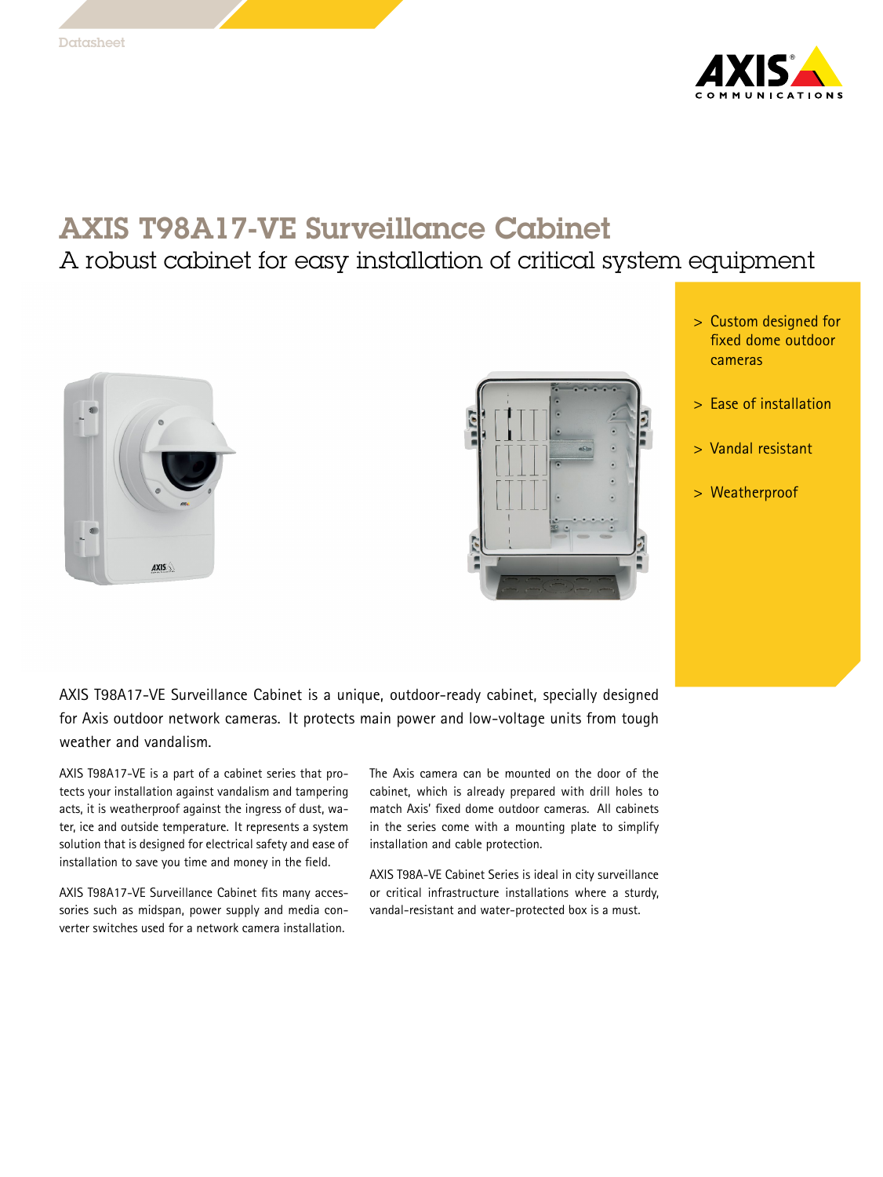

## AXIS T98A17-VE Surveillance Cabinet

## A robust cabinet for easy installation of critical system equipment





- <sup>&</sup>gt; Custom designed for fixed dome outdoor cameras
- <sup>&</sup>gt; Ease of installation
- <sup>&</sup>gt; Vandal resistant
- <sup>&</sup>gt; Weatherproof

AXIS T98A17-VE Surveillance Cabinet is <sup>a</sup> unique, outdoor-ready cabinet, specially designed for Axis outdoor network cameras. It protects main power and low-voltage units from tough weather and vandalism.

AXIS T98A17-VE is <sup>a</sup> part of <sup>a</sup> cabinet series that protects your installation against vandalism and tampering acts, it is weatherproof against the ingress of dust, water, ice and outside temperature. It represents <sup>a</sup> system solution that is designed for electrical safety and ease of installation to save you time and money in the field.

AXIS T98A17-VE Surveillance Cabinet fits many accessories such as midspan, power supply and media converter switches used for a network camera installation.

The Axis camera can be mounted on the door of the cabinet, which is already prepared with drill holes to match Axis' fixed dome outdoor cameras. All cabinets in the series come with <sup>a</sup> mounting plate to simplify installation and cable protection.

AXIS T98A-VE Cabinet Series is ideal in city surveillance or critical infrastructure installations where <sup>a</sup> sturdy, vandal-resistant and water-protected box is <sup>a</sup> must.